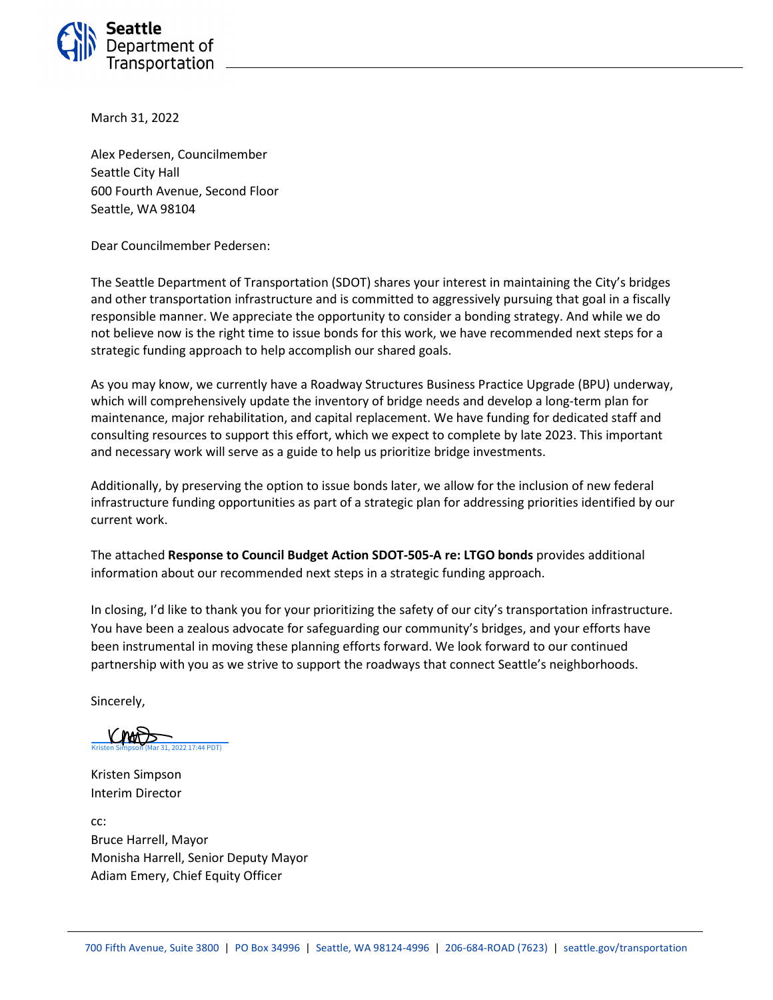

March 31, 2022

Alex Pedersen, Councilmember Seattle City Hall 600 Fourth Avenue, Second Floor Seattle, WA 98104

Dear Councilmember Pedersen:

The Seattle Department of Transportation (SDOT) shares your interest in maintaining the City's bridges and other transportation infrastructure and is committed to aggressively pursuing that goal in a fiscally responsible manner. We appreciate the opportunity to consider a bonding strategy. And while we do not believe now is the right time to issue bonds for this work, we have recommended next steps for a strategic funding approach to help accomplish our shared goals.

As you may know, we currently have a Roadway Structures Business Practice Upgrade (BPU) underway, which will comprehensively update the inventory of bridge needs and develop a long-term plan for maintenance, major rehabilitation, and capital replacement. We have funding for dedicated staff and consulting resources to support this effort, which we expect to complete by late 2023. This important and necessary work will serve as a guide to help us prioritize bridge investments.

Additionally, by preserving the option to issue bonds later, we allow for the inclusion of new federal infrastructure funding opportunities as part of a strategic plan for addressing priorities identified by our current work.

The attached **Response to Council Budget Action SDOT-505-A re: LTGO bonds** provides additional information about our recommended next steps in a strategic funding approach.

In closing, I'd like to thank you for your prioritizing the safety of our city's transportation infrastructure. You have been a zealous advocate for safeguarding our community's bridges, and your efforts have been instrumental in moving these planning efforts forward. We look forward to our continued partnership with you as we strive to support the roadways that connect Seattle's neighborhoods.

Sincerely,

(2022) 17:44 PDT)

Kristen Simpson Interim Director

cc: Bruce Harrell, Mayor Monisha Harrell, Senior Deputy Mayor Adiam Emery, Chief Equity Officer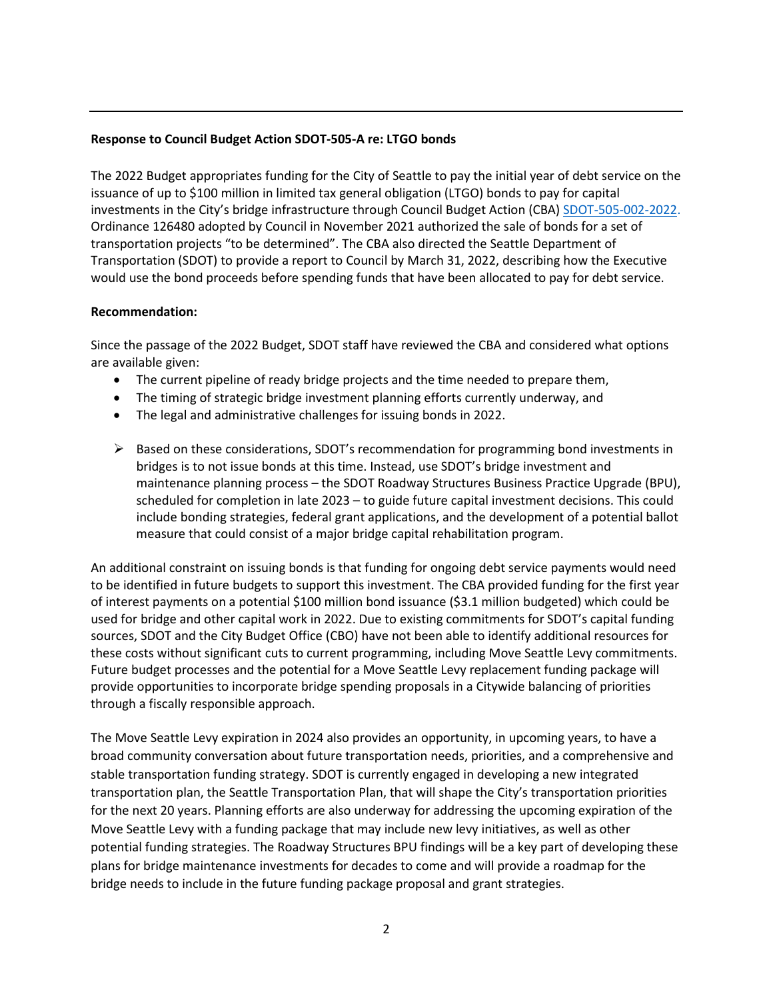## **Response to Council Budget Action SDOT-505-A re: LTGO bonds**

The 2022 Budget appropriates funding for the City of Seattle to pay the initial year of debt service on the issuance of up to \$100 million in limited tax general obligation (LTGO) bonds to pay for capital investments in the City's bridge infrastructure through Council Budget Action (CBA) [SDOT-505-002-2022.](https://seattle.legistar.com/View.ashx?M=F&ID=10228293&GUID=23D43A03-2861-4161-AE55-581C3B6C798A) Ordinance 126480 adopted by Council in November 2021 authorized the sale of bonds for a set of transportation projects "to be determined". The CBA also directed the Seattle Department of Transportation (SDOT) to provide a report to Council by March 31, 2022, describing how the Executive would use the bond proceeds before spending funds that have been allocated to pay for debt service.

## **Recommendation:**

Since the passage of the 2022 Budget, SDOT staff have reviewed the CBA and considered what options are available given:

- The current pipeline of ready bridge projects and the time needed to prepare them,
- The timing of strategic bridge investment planning efforts currently underway, and
- The legal and administrative challenges for issuing bonds in 2022.
- $\triangleright$  Based on these considerations, SDOT's recommendation for programming bond investments in bridges is to not issue bonds at this time. Instead, use SDOT's bridge investment and maintenance planning process – the SDOT Roadway Structures Business Practice Upgrade (BPU), scheduled for completion in late 2023 – to guide future capital investment decisions. This could include bonding strategies, federal grant applications, and the development of a potential ballot measure that could consist of a major bridge capital rehabilitation program.

An additional constraint on issuing bonds is that funding for ongoing debt service payments would need to be identified in future budgets to support this investment. The CBA provided funding for the first year of interest payments on a potential \$100 million bond issuance (\$3.1 million budgeted) which could be used for bridge and other capital work in 2022. Due to existing commitments for SDOT's capital funding sources, SDOT and the City Budget Office (CBO) have not been able to identify additional resources for these costs without significant cuts to current programming, including Move Seattle Levy commitments. Future budget processes and the potential for a Move Seattle Levy replacement funding package will provide opportunities to incorporate bridge spending proposals in a Citywide balancing of priorities through a fiscally responsible approach.

The Move Seattle Levy expiration in 2024 also provides an opportunity, in upcoming years, to have a broad community conversation about future transportation needs, priorities, and a comprehensive and stable transportation funding strategy. SDOT is currently engaged in developing a new integrated transportation plan, the Seattle Transportation Plan, that will shape the City's transportation priorities for the next 20 years. Planning efforts are also underway for addressing the upcoming expiration of the Move Seattle Levy with a funding package that may include new levy initiatives, as well as other potential funding strategies. The Roadway Structures BPU findings will be a key part of developing these plans for bridge maintenance investments for decades to come and will provide a roadmap for the bridge needs to include in the future funding package proposal and grant strategies.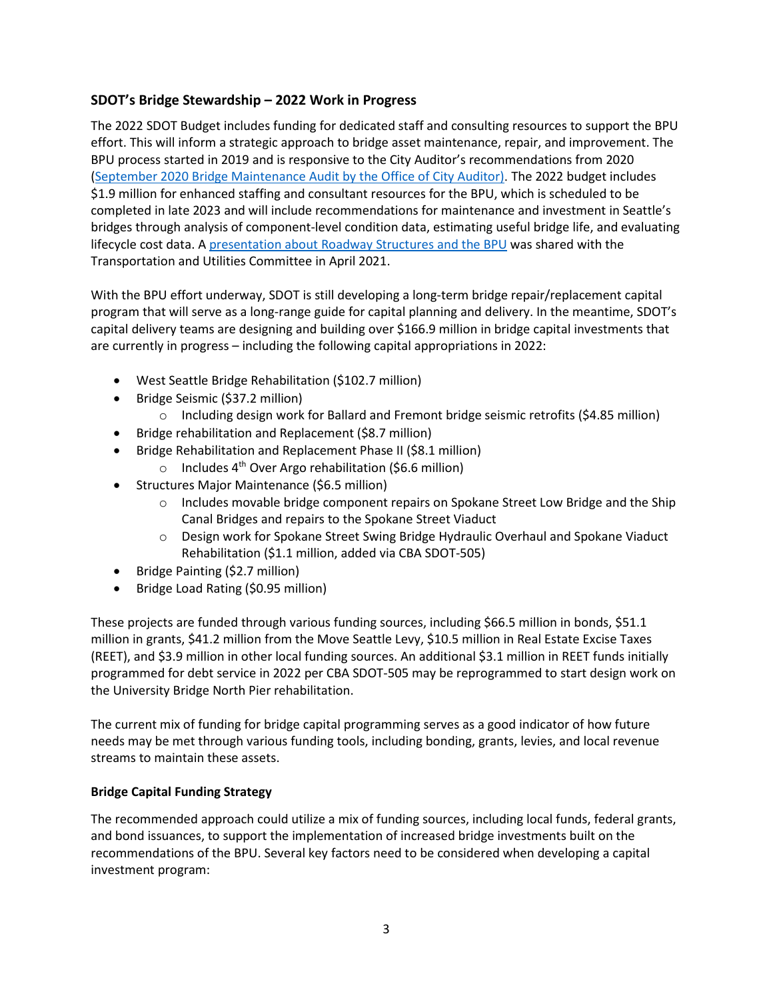## **SDOT's Bridge Stewardship – 2022 Work in Progress**

The 2022 SDOT Budget includes funding for dedicated staff and consulting resources to support the BPU effort. This will inform a strategic approach to bridge asset maintenance, repair, and improvement. The BPU process started in 2019 and is responsive to the City Auditor's recommendations from 2020 [\(September 2020 Bridge Maintenance Audit by the Office of City Auditor\)](https://www.seattle.gov/Documents/Departments/CityAuditor/auditreports/2020_03_SeattleBridges_FinalReport.pdf). The 2022 budget includes \$1.9 million for enhanced staffing and consultant resources for the BPU, which is scheduled to be completed in late 2023 and will include recommendations for maintenance and investment in Seattle's bridges through analysis of component-level condition data, estimating useful bridge life, and evaluating lifecycle cost data. A presentation about [Roadway Structures and](http://seattle.legistar.com/View.ashx?M=F&ID=9321524&GUID=D9D129D2-B5FA-4179-B182-5F3CF9FB2310) the BPU was shared with the Transportation and Utilities Committee in April 2021.

With the BPU effort underway, SDOT is still developing a long-term bridge repair/replacement capital program that will serve as a long-range guide for capital planning and delivery. In the meantime, SDOT's capital delivery teams are designing and building over \$166.9 million in bridge capital investments that are currently in progress – including the following capital appropriations in 2022:

- West Seattle Bridge Rehabilitation (\$102.7 million)
- Bridge Seismic (\$37.2 million)
	- $\circ$  Including design work for Ballard and Fremont bridge seismic retrofits (\$4.85 million)
- Bridge rehabilitation and Replacement (\$8.7 million)
- Bridge Rehabilitation and Replacement Phase II (\$8.1 million)
	- o Includes  $4<sup>th</sup>$  Over Argo rehabilitation (\$6.6 million)
- Structures Major Maintenance (\$6.5 million)
	- $\circ$  Includes movable bridge component repairs on Spokane Street Low Bridge and the Ship Canal Bridges and repairs to the Spokane Street Viaduct
	- $\circ$  Design work for Spokane Street Swing Bridge Hydraulic Overhaul and Spokane Viaduct Rehabilitation (\$1.1 million, added via CBA SDOT-505)
- Bridge Painting (\$2.7 million)
- Bridge Load Rating (\$0.95 million)

These projects are funded through various funding sources, including \$66.5 million in bonds, \$51.1 million in grants, \$41.2 million from the Move Seattle Levy, \$10.5 million in Real Estate Excise Taxes (REET), and \$3.9 million in other local funding sources. An additional \$3.1 million in REET funds initially programmed for debt service in 2022 per CBA SDOT-505 may be reprogrammed to start design work on the University Bridge North Pier rehabilitation.

The current mix of funding for bridge capital programming serves as a good indicator of how future needs may be met through various funding tools, including bonding, grants, levies, and local revenue streams to maintain these assets.

## **Bridge Capital Funding Strategy**

The recommended approach could utilize a mix of funding sources, including local funds, federal grants, and bond issuances, to support the implementation of increased bridge investments built on the recommendations of the BPU. Several key factors need to be considered when developing a capital investment program: